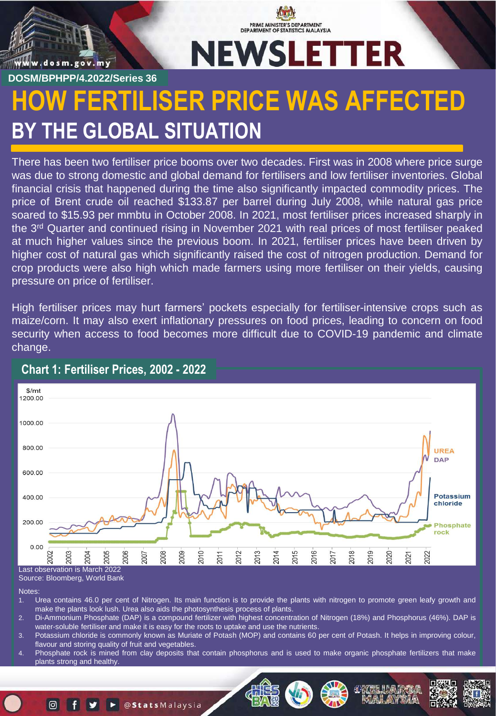

**DOSM/BPHPP/4.2022/Series 36**



# **HOW FERTILISER PRICE WAS AFFECTED BY THE GLOBAL SITUATION**

There has been two fertiliser price booms over two decades. First was in 2008 where price surge was due to strong domestic and global demand for fertilisers and low fertiliser inventories. Global financial crisis that happened during the time also significantly impacted commodity prices. The price of Brent crude oil reached \$133.87 per barrel during July 2008, while natural gas price soared to \$15.93 per mmbtu in October 2008. In 2021, most fertiliser prices increased sharply in the 3<sup>rd</sup> Quarter and continued rising in November 2021 with real prices of most fertiliser peaked at much higher values since the previous boom. In 2021, fertiliser prices have been driven by higher cost of natural gas which significantly raised the cost of nitrogen production. Demand for crop products were also high which made farmers using more fertiliser on their yields, causing pressure on price of fertiliser.

High fertiliser prices may hurt farmers' pockets especially for fertiliser-intensive crops such as maize/corn. It may also exert inflationary pressures on food prices, leading to concern on food security when access to food becomes more difficult due to COVID-19 pandemic and climate change.



#### **Chart 1: Fertiliser Prices, 2002 - 2022**

Notes:

- 1. Urea contains 46.0 per cent of Nitrogen. Its main function is to provide the plants with nitrogen to promote green leafy growth and make the plants look lush. Urea also aids the photosynthesis process of plants.
- 2. Di-Ammonium Phosphate (DAP) is a compound fertilizer with highest concentration of Nitrogen (18%) and Phosphorus (46%). DAP is water-soluble fertiliser and make it is easy for the roots to uptake and use the nutrients.
- 3. Potassium chloride is commonly known as Muriate of Potash (MOP) and contains 60 per cent of Potash. It helps in improving colour, flavour and storing quality of fruit and vegetables.
- 4. Phosphate rock is mined from clay deposits that contain phosphorus and is used to make organic phosphate fertilizers that make plants strong and healthy.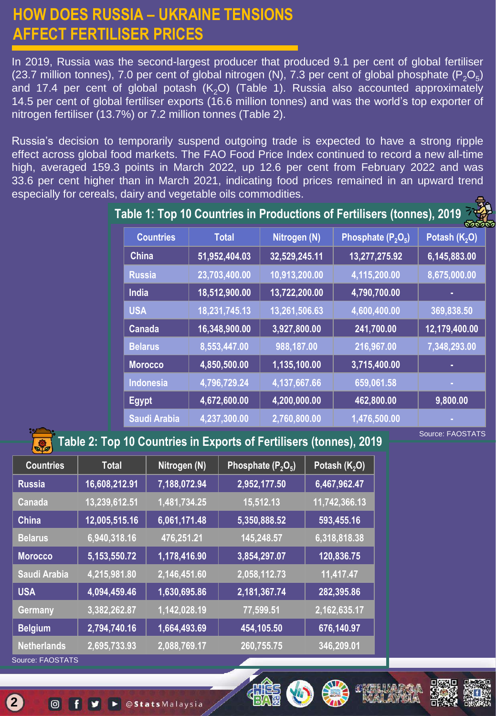## **HOW DOES RUSSIA – UKRAINE TENSIONS AFFECT FERTILISER PRICES**

In 2019, Russia was the second-largest producer that produced 9.1 per cent of global fertiliser (23.7 million tonnes), 7.0 per cent of global nitrogen (N), 7.3 per cent of global phosphate (P<sub>2</sub>O<sub>5</sub>) and 17.4 per cent of global potash  $(K<sub>2</sub>O)$  (Table 1). Russia also accounted approximately 14.5 per cent of global fertiliser exports (16.6 million tonnes) and was the world's top exporter of nitrogen fertiliser (13.7%) or 7.2 million tonnes (Table 2).

Russia's decision to temporarily suspend outgoing trade is expected to have a strong ripple effect across global food markets. The FAO Food Price Index continued to record a new all-time high, averaged 159.3 points in March 2022, up 12.6 per cent from February 2022 and was 33.6 per cent higher than in March 2021, indicating food prices remained in an upward trend especially for cereals, dairy and vegetable oils commodities.

|                     |               |               |                      | लकर                       |
|---------------------|---------------|---------------|----------------------|---------------------------|
| <b>Countries</b>    | <b>Total</b>  | Nitrogen (N)  | Phosphate $(P_2O_5)$ | Potash (K <sub>2</sub> O) |
| <b>China</b>        | 51,952,404.03 | 32,529,245.11 | 13,277,275.92        | 6,145,883.00              |
| <b>Russia</b>       | 23,703,400.00 | 10,913,200.00 | 4,115,200.00         | 8,675,000.00              |
| India               | 18,512,900.00 | 13,722,200.00 | 4,790,700.00         |                           |
| <b>USA</b>          | 18,231,745.13 | 13,261,506.63 | 4,600,400.00         | 369,838.50                |
| Canada              | 16,348,900.00 | 3,927,800.00  | 241,700.00           | 12,179,400.00             |
| <b>Belarus</b>      | 8,553,447.00  | 988,187.00    | 216,967.00           | 7,348,293.00              |
| <b>Morocco</b>      | 4,850,500.00  | 1,135,100.00  | 3,715,400.00         | ٠                         |
| <b>Indonesia</b>    | 4,796,729.24  | 4,137,667.66  | 659,061.58           | m.                        |
| <b>Egypt</b>        | 4,672,600.00  | 4,200,000.00  | 462,800.00           | 9,800.00                  |
| <b>Saudi Arabia</b> | 4,237,300.00  | 2,760,800.00  | 1,476,500.00         |                           |

### **Table 1: Top 10 Countries in Productions of Fertilisers (tonnes), 2019**

## **Table 2: Top 10 Countries in Exports of Fertilisers (tonnes), 2019**

| <b>Countries</b>   | <b>Total</b>  | Nitrogen (N) | Phosphate $(P_2O_5)$   | Potash $(K2O)$  |
|--------------------|---------------|--------------|------------------------|-----------------|
| <b>Russia</b>      | 16,608,212.91 | 7,188,072.94 | 2,952,177.50           | 6,467,962.47    |
| Canada             | 13,239,612.51 | 1,481,734.25 | $\overline{15,512.13}$ | 11,742,366.13   |
| China              | 12,005,515.16 | 6,061,171.48 | 5,350,888.52           | 593,455.16      |
| <b>Belarus</b>     | 6,940,318.16  | 476,251.21   | 145,248.57             | 6,318,818.38    |
| <b>Morocco</b>     | 5,153,550.72  | 1,178,416.90 | 3,854,297.07           | 120,836.75      |
| Saudi Arabia       | 4,215,981.80  | 2,146,451.60 | 2,058,112.73           | 11,417.47       |
| <b>USA</b>         | 4,094,459.46  | 1,630,695.86 | 2,181,367.74           | 282,395.86      |
| <b>Germany</b>     | 3,382,262.87  | 1,142,028.19 | 77,599.51              | 2, 162, 635. 17 |
| <b>Belgium</b>     | 2,794,740.16  | 1,664,493.69 | 454,105.50             | 676,140.97      |
| <b>Netherlands</b> | 2,695,733.93  | 2,088,769.17 | 260,755.75             | 346,209.01      |
| Source: FAOSTATS   |               |              |                        |                 |







Source: FAOSTATS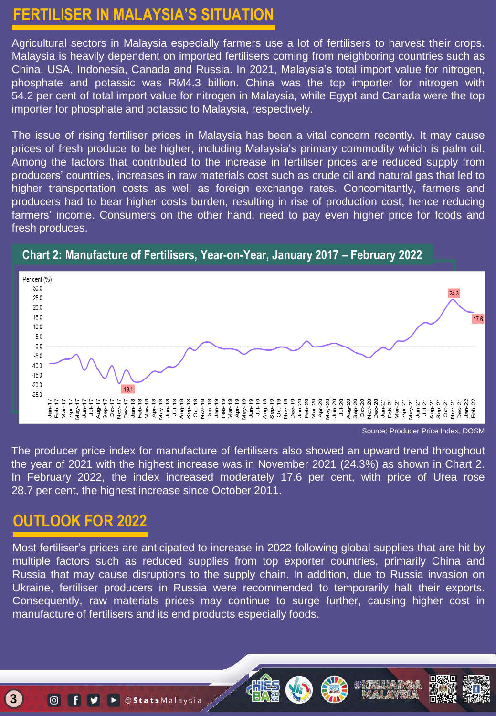## **FERTILISER IN MALAYSIA'S SITUATION**

Agricultural sectors in Malaysia especially farmers use a lot of fertilisers to harvest their crops. Malaysia is heavily dependent on imported fertilisers coming from neighboring countries such as China, USA, Indonesia, Canada and Russia. In 2021, Malaysia's total import value for nitrogen, phosphate and potassic was RM4.3 billion. China was the top importer for nitrogen with 54.2 per cent of total import value for nitrogen in Malaysia, while Egypt and Canada were the top importer for phosphate and potassic to Malaysia, respectively.

The issue of rising fertiliser prices in Malaysia has been a vital concern recently. It may cause prices of fresh produce to be higher, including Malaysia's primary commodity which is palm oil. Among the factors that contributed to the increase in fertiliser prices are reduced supply from producers' countries, increases in raw materials cost such as crude oil and natural gas that led to higher transportation costs as well as foreign exchange rates. Concomitantly, farmers and producers had to bear higher costs burden, resulting in rise of production cost, hence reducing farmers' income. Consumers on the other hand, need to pay even higher price for foods and fresh produces.



#### **Chart 2: Manufacture of Fertilisers, Year-on-Year, January 2017 – February 2022**

Source: Producer Price Index, DOSM

The producer price index for manufacture of fertilisers also showed an upward trend throughout the year of 2021 with the highest increase was in November 2021 (24.3%) as shown in Chart 2. In February 2022, the index increased moderately 17.6 per cent, with price of Urea rose 28.7 per cent, the highest increase since October 2011.

## **OUTLOOK FOR 2022**

Most fertiliser's prices are anticipated to increase in 2022 following global supplies that are hit by multiple factors such as reduced supplies from top exporter countries, primarily China and Russia that may cause disruptions to the supply chain. In addition, due to Russia invasion on Ukraine, fertiliser producers in Russia were recommended to temporarily halt their exports. Consequently, raw materials prices may continue to surge further, causing higher cost in manufacture of fertilisers and its end products especially foods.

**3**